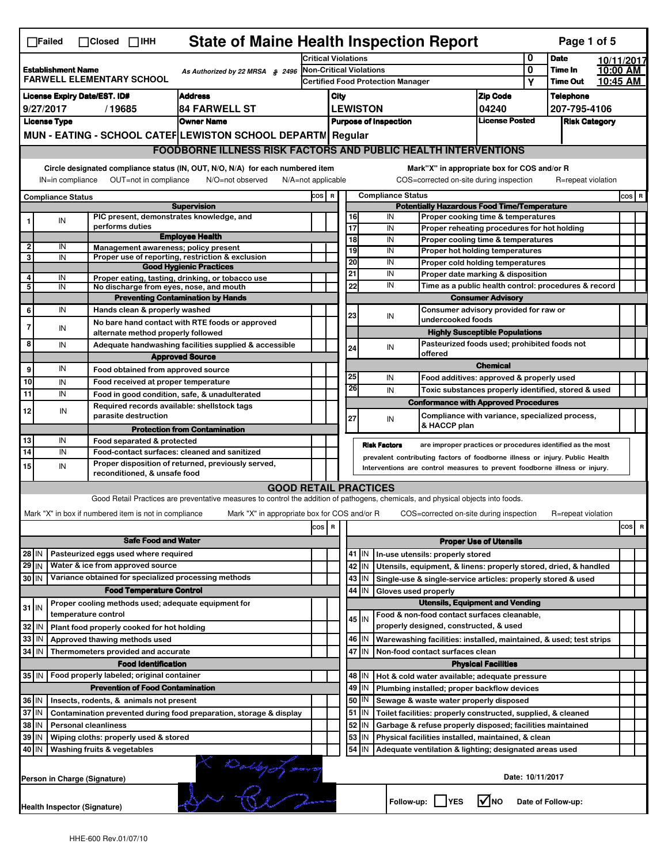|                   | <b>State of Maine Health Inspection Report</b><br>Page 1 of 5<br>$\Box$ Failed<br>$\Box$ Closed $\Box$ IHH                      |                                                                            |                                                                                                                                   |                                                                                                                                                            |                              |                                                                                                                                       |          |                          |                                                                                           |                                       |                  |                            |                                 |
|-------------------|---------------------------------------------------------------------------------------------------------------------------------|----------------------------------------------------------------------------|-----------------------------------------------------------------------------------------------------------------------------------|------------------------------------------------------------------------------------------------------------------------------------------------------------|------------------------------|---------------------------------------------------------------------------------------------------------------------------------------|----------|--------------------------|-------------------------------------------------------------------------------------------|---------------------------------------|------------------|----------------------------|---------------------------------|
|                   |                                                                                                                                 |                                                                            | <b>Critical Violations</b>                                                                                                        |                                                                                                                                                            |                              |                                                                                                                                       |          |                          | 0                                                                                         | <b>Date</b>                           | 10/11/2017       |                            |                                 |
|                   | <b>Establishment Name</b><br>As Authorized by 22 MRSA § 2496<br><b>FARWELL ELEMENTARY SCHOOL</b>                                |                                                                            |                                                                                                                                   | <b>Non-Critical Violations</b><br><b>Certified Food Protection Manager</b>                                                                                 |                              |                                                                                                                                       |          |                          |                                                                                           |                                       | 0<br>Υ           | Time In<br><b>Time Out</b> | 10:00 AM<br>10:45 AM            |
|                   |                                                                                                                                 | <b>License Expiry Date/EST. ID#</b>                                        | <b>Address</b>                                                                                                                    | City                                                                                                                                                       |                              |                                                                                                                                       |          |                          | <b>Zip Code</b>                                                                           |                                       | <b>Telephone</b> |                            |                                 |
|                   | 9/27/2017                                                                                                                       | /19685                                                                     | <b>84 FARWELL ST</b>                                                                                                              |                                                                                                                                                            | <b>LEWISTON</b>              |                                                                                                                                       |          |                          |                                                                                           | 04240                                 |                  | 207-795-4106               |                                 |
|                   | <b>License Type</b>                                                                                                             |                                                                            | <b>Owner Name</b>                                                                                                                 |                                                                                                                                                            | <b>Purpose of Inspection</b> |                                                                                                                                       |          |                          |                                                                                           | <b>License Posted</b>                 |                  | <b>Risk Category</b>       |                                 |
|                   |                                                                                                                                 |                                                                            | MUN - EATING - SCHOOL CATEF LEWISTON SCHOOL DEPARTN Regular                                                                       |                                                                                                                                                            |                              |                                                                                                                                       |          |                          |                                                                                           |                                       |                  |                            |                                 |
|                   |                                                                                                                                 |                                                                            | <b>FOODBORNE ILLNESS RISK FACTORS AND PUBLIC HEALTH INTERVENTIONS</b>                                                             |                                                                                                                                                            |                              |                                                                                                                                       |          |                          |                                                                                           |                                       |                  |                            |                                 |
|                   |                                                                                                                                 |                                                                            | Circle designated compliance status (IN, OUT, N/O, N/A) for each numbered item                                                    |                                                                                                                                                            |                              |                                                                                                                                       |          |                          | Mark"X" in appropriate box for COS and/or R                                               |                                       |                  |                            |                                 |
|                   | OUT=not in compliance<br>IN=in compliance<br>N/O=not observed<br>$N/A = not$ applicable                                         |                                                                            |                                                                                                                                   |                                                                                                                                                            |                              |                                                                                                                                       |          |                          | COS=corrected on-site during inspection                                                   |                                       |                  | R=repeat violation         |                                 |
|                   | <b>Compliance Status</b>                                                                                                        |                                                                            |                                                                                                                                   | COS R                                                                                                                                                      |                              |                                                                                                                                       |          | <b>Compliance Status</b> |                                                                                           |                                       |                  |                            | $cos$ R                         |
|                   |                                                                                                                                 |                                                                            | <b>Supervision</b><br>PIC present, demonstrates knowledge, and                                                                    |                                                                                                                                                            |                              |                                                                                                                                       | 16       | IN                       | <b>Potentially Hazardous Food Time/Temperature</b>                                        |                                       |                  |                            |                                 |
|                   | IN                                                                                                                              | performs duties                                                            |                                                                                                                                   |                                                                                                                                                            |                              |                                                                                                                                       | 17       | IN                       | Proper cooking time & temperatures<br>Proper reheating procedures for hot holding         |                                       |                  |                            |                                 |
|                   |                                                                                                                                 |                                                                            | <b>Employee Health</b>                                                                                                            |                                                                                                                                                            |                              |                                                                                                                                       | 18       | IN                       | Proper cooling time & temperatures                                                        |                                       |                  |                            |                                 |
| $\mathbf{2}$<br>3 | IN<br>IN                                                                                                                        | Management awareness; policy present                                       | Proper use of reporting, restriction & exclusion                                                                                  |                                                                                                                                                            |                              |                                                                                                                                       | 19       | IN                       | <b>Proper hot holding temperatures</b>                                                    |                                       |                  |                            |                                 |
|                   |                                                                                                                                 |                                                                            | <b>Good Hygienic Practices</b>                                                                                                    |                                                                                                                                                            |                              |                                                                                                                                       | 20       | IN                       | Proper cold holding temperatures                                                          |                                       |                  |                            |                                 |
| 4<br>5            | IN<br>IN                                                                                                                        |                                                                            | Proper eating, tasting, drinking, or tobacco use<br>No discharge from eyes, nose, and mouth                                       |                                                                                                                                                            |                              | 21                                                                                                                                    | 22       | IN<br>IN                 | Proper date marking & disposition<br>Time as a public health control: procedures & record |                                       |                  |                            |                                 |
|                   |                                                                                                                                 |                                                                            | <b>Preventing Contamination by Hands</b>                                                                                          |                                                                                                                                                            |                              |                                                                                                                                       |          |                          |                                                                                           | <b>Consumer Advisory</b>              |                  |                            |                                 |
| 6                 | IN                                                                                                                              | Hands clean & properly washed                                              |                                                                                                                                   |                                                                                                                                                            |                              | 23                                                                                                                                    |          |                          | Consumer advisory provided for raw or                                                     |                                       |                  |                            |                                 |
| 7                 | IN                                                                                                                              |                                                                            | No bare hand contact with RTE foods or approved                                                                                   |                                                                                                                                                            |                              |                                                                                                                                       |          | IN                       | undercooked foods                                                                         |                                       |                  |                            |                                 |
| 8                 |                                                                                                                                 | alternate method properly followed                                         |                                                                                                                                   |                                                                                                                                                            |                              |                                                                                                                                       |          |                          | Pasteurized foods used; prohibited foods not                                              | <b>Highly Susceptible Populations</b> |                  |                            |                                 |
|                   | IN                                                                                                                              |                                                                            | Adequate handwashing facilities supplied & accessible<br><b>Approved Source</b>                                                   |                                                                                                                                                            |                              |                                                                                                                                       | 24       | IN                       | offered                                                                                   |                                       |                  |                            |                                 |
| 9                 | IN                                                                                                                              | Food obtained from approved source                                         |                                                                                                                                   |                                                                                                                                                            |                              |                                                                                                                                       |          |                          |                                                                                           | <b>Chemical</b>                       |                  |                            |                                 |
| 10                | IN                                                                                                                              | Food received at proper temperature                                        |                                                                                                                                   |                                                                                                                                                            |                              | 25                                                                                                                                    |          | IN                       | Food additives: approved & properly used                                                  |                                       |                  |                            |                                 |
| 11                | IN                                                                                                                              |                                                                            | Food in good condition, safe, & unadulterated                                                                                     |                                                                                                                                                            |                              |                                                                                                                                       | 26       | IN                       | Toxic substances properly identified, stored & used                                       |                                       |                  |                            |                                 |
| 12                | IN                                                                                                                              |                                                                            | Required records available: shellstock tags                                                                                       |                                                                                                                                                            |                              |                                                                                                                                       |          |                          | <b>Conformance with Approved Procedures</b>                                               |                                       |                  |                            |                                 |
|                   |                                                                                                                                 | parasite destruction                                                       | <b>Protection from Contamination</b>                                                                                              |                                                                                                                                                            |                              | 27                                                                                                                                    |          | IN                       | Compliance with variance, specialized process,<br>& HACCP plan                            |                                       |                  |                            |                                 |
| 13                | IN                                                                                                                              | Food separated & protected                                                 |                                                                                                                                   |                                                                                                                                                            |                              |                                                                                                                                       |          |                          |                                                                                           |                                       |                  |                            |                                 |
| 14                | IN                                                                                                                              |                                                                            | Food-contact surfaces: cleaned and sanitized                                                                                      |                                                                                                                                                            |                              |                                                                                                                                       |          | <b>Risk Factors</b>      | are improper practices or procedures identified as the most                               |                                       |                  |                            |                                 |
| 15                | IN                                                                                                                              |                                                                            | Proper disposition of returned, previously served,                                                                                | prevalent contributing factors of foodborne illness or injury. Public Health<br>Interventions are control measures to prevent foodborne illness or injury. |                              |                                                                                                                                       |          |                          |                                                                                           |                                       |                  |                            |                                 |
|                   |                                                                                                                                 | reconditioned, & unsafe food                                               | <b>GOOD RETAIL PRACTICES</b>                                                                                                      |                                                                                                                                                            |                              |                                                                                                                                       |          |                          |                                                                                           |                                       |                  |                            |                                 |
|                   |                                                                                                                                 |                                                                            | Good Retail Practices are preventative measures to control the addition of pathogens, chemicals, and physical objects into foods. |                                                                                                                                                            |                              |                                                                                                                                       |          |                          |                                                                                           |                                       |                  |                            |                                 |
|                   |                                                                                                                                 | Mark "X" in box if numbered item is not in compliance                      | Mark "X" in appropriate box for COS and/or R                                                                                      |                                                                                                                                                            |                              |                                                                                                                                       |          |                          | COS=corrected on-site during inspection                                                   |                                       |                  | R=repeat violation         |                                 |
|                   |                                                                                                                                 |                                                                            |                                                                                                                                   | COS R                                                                                                                                                      |                              |                                                                                                                                       |          |                          |                                                                                           |                                       |                  |                            | cosl<br>$\overline{\mathbf{R}}$ |
|                   |                                                                                                                                 | <b>Safe Food and Water</b>                                                 |                                                                                                                                   |                                                                                                                                                            |                              |                                                                                                                                       |          |                          |                                                                                           | <b>Proper Use of Utensils</b>         |                  |                            |                                 |
| 28 IN             |                                                                                                                                 | Pasteurized eggs used where required                                       |                                                                                                                                   |                                                                                                                                                            |                              |                                                                                                                                       | 41   IN  |                          | In-use utensils: properly stored                                                          |                                       |                  |                            |                                 |
| $29$ IN           |                                                                                                                                 | Water & ice from approved source                                           |                                                                                                                                   |                                                                                                                                                            |                              |                                                                                                                                       | 42<br>IN |                          | Utensils, equipment, & linens: properly stored, dried, & handled                          |                                       |                  |                            |                                 |
| 30 IN             |                                                                                                                                 | Variance obtained for specialized processing methods                       |                                                                                                                                   |                                                                                                                                                            |                              |                                                                                                                                       | 43<br>IN |                          | Single-use & single-service articles: properly stored & used                              |                                       |                  |                            |                                 |
|                   |                                                                                                                                 | <b>Food Temperature Control</b>                                            |                                                                                                                                   |                                                                                                                                                            |                              | 44<br>IN<br>Gloves used properly<br><b>Utensils, Equipment and Vending</b>                                                            |          |                          |                                                                                           |                                       |                  |                            |                                 |
| $31$ IN           |                                                                                                                                 | Proper cooling methods used; adequate equipment for<br>temperature control |                                                                                                                                   |                                                                                                                                                            |                              |                                                                                                                                       |          |                          | Food & non-food contact surfaces cleanable,                                               |                                       |                  |                            |                                 |
| 32                | IN                                                                                                                              | Plant food properly cooked for hot holding                                 |                                                                                                                                   |                                                                                                                                                            |                              |                                                                                                                                       | 45 I IN  |                          | properly designed, constructed, & used                                                    |                                       |                  |                            |                                 |
| 33                | IN                                                                                                                              | Approved thawing methods used                                              |                                                                                                                                   |                                                                                                                                                            |                              |                                                                                                                                       | 46<br>IN |                          | Warewashing facilities: installed, maintained, & used; test strips                        |                                       |                  |                            |                                 |
| 34 IN             |                                                                                                                                 | Thermometers provided and accurate                                         |                                                                                                                                   |                                                                                                                                                            |                              |                                                                                                                                       | 47 IN    |                          | Non-food contact surfaces clean                                                           |                                       |                  |                            |                                 |
|                   |                                                                                                                                 | <b>Food Identification</b>                                                 |                                                                                                                                   |                                                                                                                                                            |                              |                                                                                                                                       |          |                          |                                                                                           | <b>Physical Facilities</b>            |                  |                            |                                 |
| 35 IN             |                                                                                                                                 | Food properly labeled; original container                                  |                                                                                                                                   |                                                                                                                                                            |                              |                                                                                                                                       | 48   IN  |                          | Hot & cold water available; adequate pressure                                             |                                       |                  |                            |                                 |
|                   | <b>Prevention of Food Contamination</b>                                                                                         |                                                                            |                                                                                                                                   |                                                                                                                                                            |                              | 49<br>IN<br>Plumbing installed; proper backflow devices<br>50   IN<br>Sewage & waste water properly disposed                          |          |                          |                                                                                           |                                       |                  |                            |                                 |
|                   | 36 IN<br>Insects, rodents, & animals not present<br>37 IN<br>Contamination prevented during food preparation, storage & display |                                                                            |                                                                                                                                   |                                                                                                                                                            |                              |                                                                                                                                       | $51$ M   |                          |                                                                                           |                                       |                  |                            |                                 |
|                   | 38 IN<br><b>Personal cleanliness</b>                                                                                            |                                                                            |                                                                                                                                   |                                                                                                                                                            |                              | Toilet facilities: properly constructed, supplied, & cleaned<br>52<br>IN<br>Garbage & refuse properly disposed; facilities maintained |          |                          |                                                                                           |                                       |                  |                            |                                 |
| 39 IN             |                                                                                                                                 | Wiping cloths: properly used & stored                                      |                                                                                                                                   |                                                                                                                                                            |                              |                                                                                                                                       | 53<br>IN |                          | Physical facilities installed, maintained, & clean                                        |                                       |                  |                            |                                 |
| 40 IN             |                                                                                                                                 | Washing fruits & vegetables                                                |                                                                                                                                   |                                                                                                                                                            |                              |                                                                                                                                       | 54<br>IN |                          | Adequate ventilation & lighting; designated areas used                                    |                                       |                  |                            |                                 |
|                   | avere personal<br>Date: 10/11/2017<br>Person in Charge (Signature)                                                              |                                                                            |                                                                                                                                   |                                                                                                                                                            |                              |                                                                                                                                       |          |                          |                                                                                           |                                       |                  |                            |                                 |
|                   | Follow-up: YES<br>I√INO<br>Date of Follow-up:<br>Health Inspector (Signature)                                                   |                                                                            |                                                                                                                                   |                                                                                                                                                            |                              |                                                                                                                                       |          |                          |                                                                                           |                                       |                  |                            |                                 |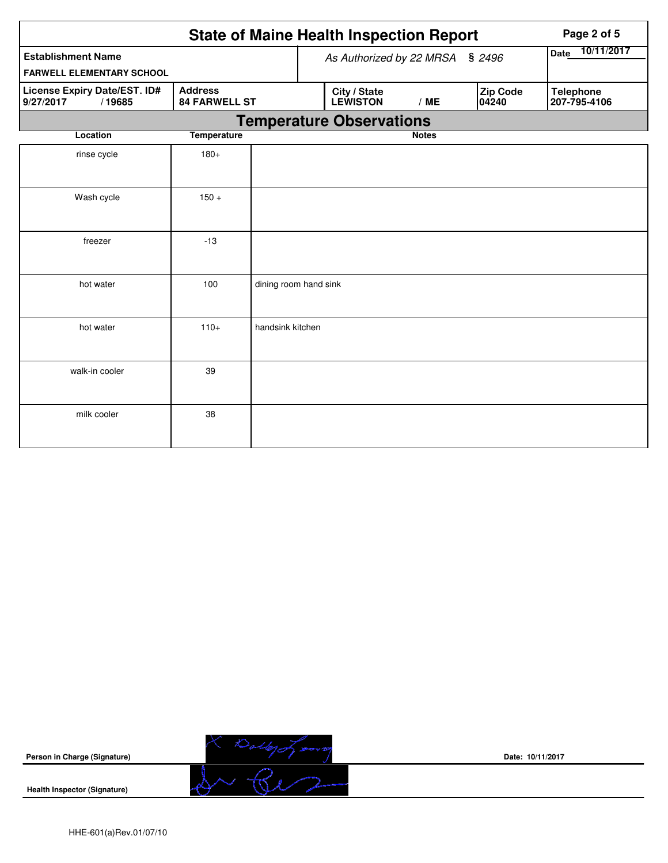|                                                               | <b>State of Maine Health Inspection Report</b> |                       |                          | Page 2 of 5                     |              |                   |                                  |
|---------------------------------------------------------------|------------------------------------------------|-----------------------|--------------------------|---------------------------------|--------------|-------------------|----------------------------------|
| <b>Establishment Name</b><br><b>FARWELL ELEMENTARY SCHOOL</b> |                                                |                       | As Authorized by 22 MRSA | 10/11/2017<br>Date              |              |                   |                                  |
| License Expiry Date/EST. ID#<br>9/27/2017<br>/19685           | <b>Address</b><br><b>84 FARWELL ST</b>         |                       |                          | City / State<br><b>LEWISTON</b> | /ME          | Zip Code<br>04240 | <b>Telephone</b><br>207-795-4106 |
|                                                               |                                                |                       |                          | <b>Temperature Observations</b> |              |                   |                                  |
| Location                                                      | <b>Temperature</b>                             |                       |                          |                                 | <b>Notes</b> |                   |                                  |
| rinse cycle                                                   | $180+$                                         |                       |                          |                                 |              |                   |                                  |
| Wash cycle                                                    | $150 +$                                        |                       |                          |                                 |              |                   |                                  |
| freezer                                                       | $-13$                                          |                       |                          |                                 |              |                   |                                  |
| hot water                                                     | 100                                            | dining room hand sink |                          |                                 |              |                   |                                  |
| hot water                                                     | $110+$                                         | handsink kitchen      |                          |                                 |              |                   |                                  |
| walk-in cooler                                                | 39                                             |                       |                          |                                 |              |                   |                                  |
| milk cooler                                                   | 38                                             |                       |                          |                                 |              |                   |                                  |



**Date: 10/11/2017**

**Health Inspector (Signature)**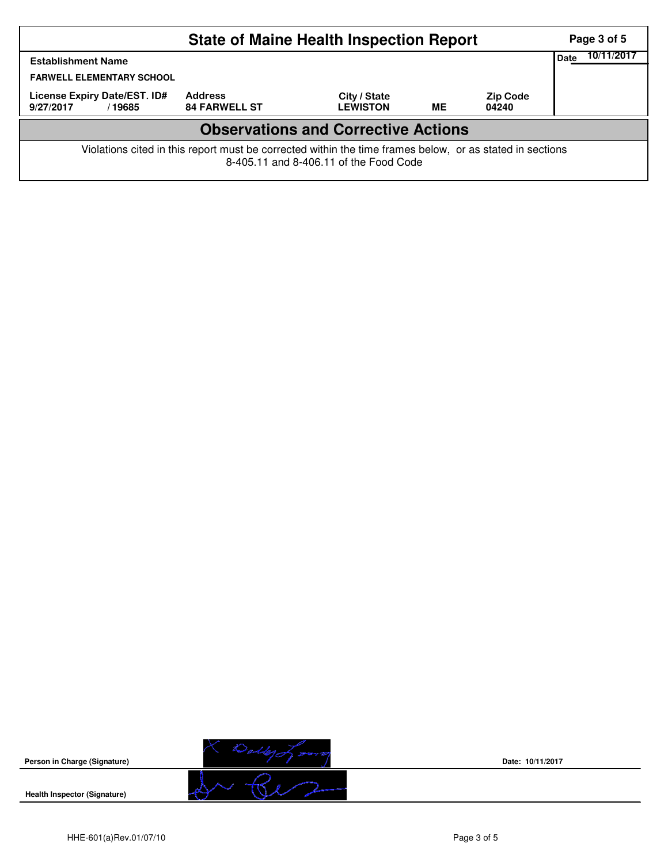|                                                                                                                                                    |                                        | Page 3 of 5                            |                                 |           |                          |  |  |  |  |
|----------------------------------------------------------------------------------------------------------------------------------------------------|----------------------------------------|----------------------------------------|---------------------------------|-----------|--------------------------|--|--|--|--|
| <b>Establishment Name</b>                                                                                                                          | Date                                   | 10/11/2017                             |                                 |           |                          |  |  |  |  |
|                                                                                                                                                    | <b>FARWELL ELEMENTARY SCHOOL</b>       |                                        |                                 |           |                          |  |  |  |  |
| 9/27/2017                                                                                                                                          | License Expiry Date/EST. ID#<br>/19685 | <b>Address</b><br><b>84 FARWELL ST</b> | City / State<br><b>LEWISTON</b> | <b>ME</b> | <b>Zip Code</b><br>04240 |  |  |  |  |
| <b>Observations and Corrective Actions</b>                                                                                                         |                                        |                                        |                                 |           |                          |  |  |  |  |
| Violations cited in this report must be corrected within the time frames below, or as stated in sections<br>8-405.11 and 8-406.11 of the Food Code |                                        |                                        |                                 |           |                          |  |  |  |  |



**Date: 10/11/2017**

**Health Inspector (Signature)**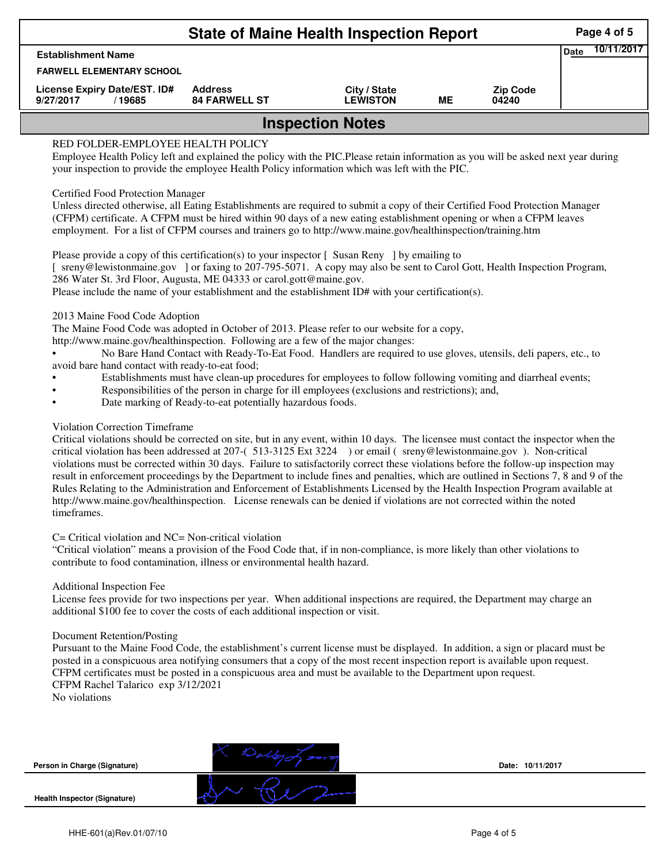|                                                      | Page 4 of 5<br>10/11/2017              |                                 |    |                          |  |  |  |  |
|------------------------------------------------------|----------------------------------------|---------------------------------|----|--------------------------|--|--|--|--|
| <b>Establishment Name</b>                            |                                        |                                 |    |                          |  |  |  |  |
| <b>FARWELL ELEMENTARY SCHOOL</b>                     |                                        |                                 |    |                          |  |  |  |  |
| License Expiry Date/EST. ID#<br>9/27/2017<br>/ 19685 | <b>Address</b><br><b>84 FARWELL ST</b> | City / State<br><b>LEWISTON</b> | ME | <b>Zip Code</b><br>04240 |  |  |  |  |
| <b>Inspection Notes</b>                              |                                        |                                 |    |                          |  |  |  |  |

# RED FOLDER-EMPLOYEE HEALTH POLICY

Employee Health Policy left and explained the policy with the PIC.Please retain information as you will be asked next year during your inspection to provide the employee Health Policy information which was left with the PIC.

## Certified Food Protection Manager

Unless directed otherwise, all Eating Establishments are required to submit a copy of their Certified Food Protection Manager (CFPM) certificate. A CFPM must be hired within 90 days of a new eating establishment opening or when a CFPM leaves employment. For a list of CFPM courses and trainers go to http://www.maine.gov/healthinspection/training.htm

Please provide a copy of this certification(s) to your inspector [Susan Reny ] by emailing to [ sreny@lewistonmaine.gov ] or faxing to 207-795-5071. A copy may also be sent to Carol Gott, Health Inspection Program, 286 Water St. 3rd Floor, Augusta, ME 04333 or carol.gott@maine.gov.

Please include the name of your establishment and the establishment ID# with your certification(s).

2013 Maine Food Code Adoption

The Maine Food Code was adopted in October of 2013. Please refer to our website for a copy,

http://www.maine.gov/healthinspection. Following are a few of the major changes:

• No Bare Hand Contact with Ready-To-Eat Food. Handlers are required to use gloves, utensils, deli papers, etc., to avoid bare hand contact with ready-to-eat food;

- Establishments must have clean-up procedures for employees to follow following vomiting and diarrheal events;
- Responsibilities of the person in charge for ill employees (exclusions and restrictions); and,
- Date marking of Ready-to-eat potentially hazardous foods.

## Violation Correction Timeframe

Critical violations should be corrected on site, but in any event, within 10 days. The licensee must contact the inspector when the critical violation has been addressed at 207-( 513-3125 Ext 3224 ) or email ( sreny@lewistonmaine.gov ). Non-critical violations must be corrected within 30 days. Failure to satisfactorily correct these violations before the follow-up inspection may result in enforcement proceedings by the Department to include fines and penalties, which are outlined in Sections 7, 8 and 9 of the Rules Relating to the Administration and Enforcement of Establishments Licensed by the Health Inspection Program available at http://www.maine.gov/healthinspection. License renewals can be denied if violations are not corrected within the noted timeframes.

### C= Critical violation and NC= Non-critical violation

"Critical violation" means a provision of the Food Code that, if in non-compliance, is more likely than other violations to contribute to food contamination, illness or environmental health hazard.

### Additional Inspection Fee

License fees provide for two inspections per year. When additional inspections are required, the Department may charge an additional \$100 fee to cover the costs of each additional inspection or visit.

### Document Retention/Posting

Pursuant to the Maine Food Code, the establishment's current license must be displayed. In addition, a sign or placard must be posted in a conspicuous area notifying consumers that a copy of the most recent inspection report is available upon request. CFPM certificates must be posted in a conspicuous area and must be available to the Department upon request. CFPM Rachel Talarico exp 3/12/2021

No violations

**Person in Charge (Signature)**

**Health Inspector (Signature)** 



**Date: 10/11/2017**